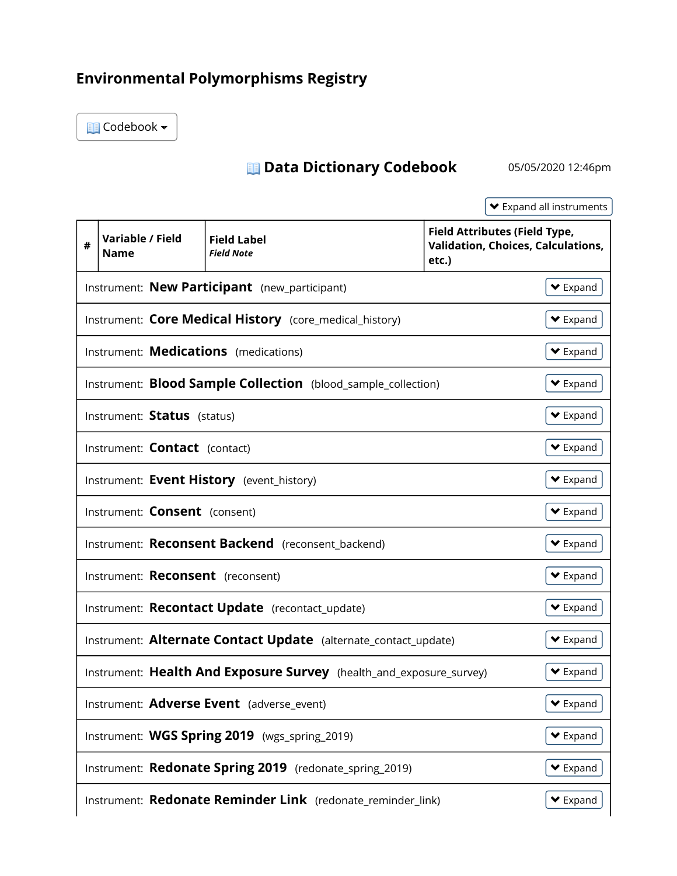## Environmental Polymorphisms Registry

Codebook

## Data Dictionary Codebook 05/05/2020 12:46pm

Expand all instruments

| #                                                                                                    | Variable / Field<br>Name                                                                | <b>Field Label</b><br><b>Field Note</b>                             | <b>Field Attributes (Field Type,</b><br><b>Validation, Choices, Calculations,</b><br>etc.) |  |  |
|------------------------------------------------------------------------------------------------------|-----------------------------------------------------------------------------------------|---------------------------------------------------------------------|--------------------------------------------------------------------------------------------|--|--|
| Instrument: New Participant (new_participant)                                                        |                                                                                         |                                                                     | $\blacktriangleright$ Expand                                                               |  |  |
|                                                                                                      | Instrument: Core Medical History (core_medical_history)<br>$\blacktriangleright$ Expand |                                                                     |                                                                                            |  |  |
| Instrument: Medications (medications)                                                                |                                                                                         |                                                                     | $\blacktriangleright$ Expand                                                               |  |  |
| Instrument: <b>Blood Sample Collection</b> (blood_sample_collection)<br>$\blacktriangleright$ Expand |                                                                                         |                                                                     |                                                                                            |  |  |
|                                                                                                      | Instrument: Status (status)                                                             |                                                                     | $\blacktriangleright$ Expand                                                               |  |  |
|                                                                                                      | Instrument: <b>Contact</b> (contact)                                                    |                                                                     | $\blacktriangleright$ Expand                                                               |  |  |
|                                                                                                      |                                                                                         | Instrument: Event History (event_history)                           | $\blacktriangleright$ Expand                                                               |  |  |
|                                                                                                      | Instrument: Consent (consent)                                                           |                                                                     | $\blacktriangleright$ Expand                                                               |  |  |
|                                                                                                      |                                                                                         | Instrument: Reconsent Backend (reconsent_backend)                   | $\blacktriangleright$ Expand                                                               |  |  |
|                                                                                                      | Instrument: Reconsent (reconsent)                                                       |                                                                     | $\blacktriangleright$ Expand                                                               |  |  |
|                                                                                                      |                                                                                         | Instrument: Recontact Update (recontact_update)                     | $\blacktriangleright$ Expand                                                               |  |  |
|                                                                                                      |                                                                                         | Instrument: Alternate Contact Update (alternate_contact_update)     | $\blacktriangleright$ Expand                                                               |  |  |
|                                                                                                      |                                                                                         | Instrument: Health And Exposure Survey (health_and_exposure_survey) | $\blacktriangleright$ Expand                                                               |  |  |
|                                                                                                      |                                                                                         | Instrument: Adverse Event (adverse_event)                           | $\blacktriangleright$ Expand                                                               |  |  |
|                                                                                                      |                                                                                         | Instrument: WGS Spring 2019 (wgs_spring_2019)                       | $\blacktriangleright$ Expand                                                               |  |  |
|                                                                                                      |                                                                                         | Instrument: Redonate Spring 2019 (redonate_spring_2019)             | $\blacktriangleright$ Expand                                                               |  |  |
|                                                                                                      |                                                                                         | Instrument: Redonate Reminder Link (redonate_reminder_link)         | $\blacktriangleright$ Expand                                                               |  |  |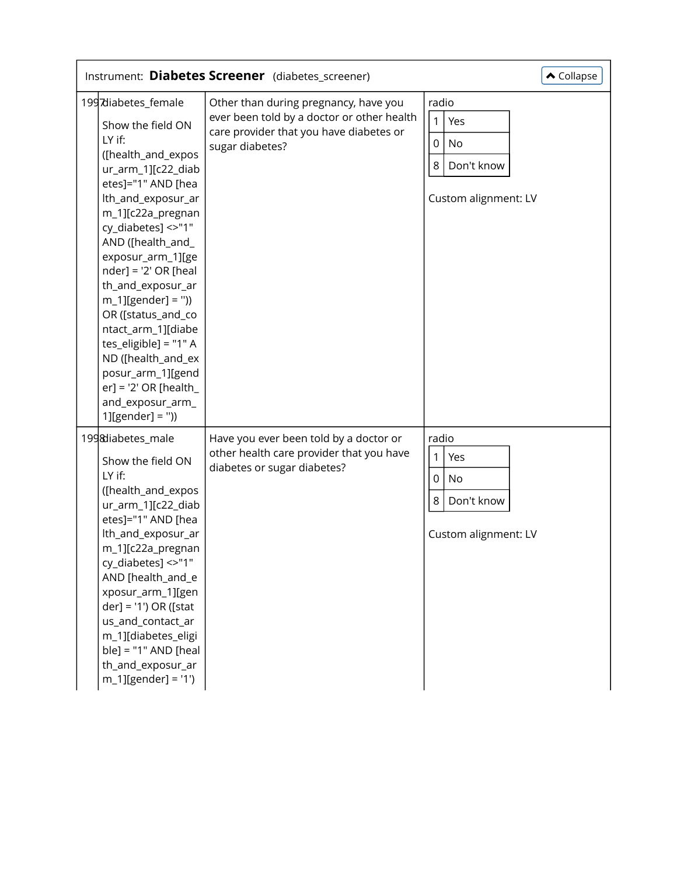| Instrument: Diabetes Screener (diabetes_screener)<br>$\triangle$ Collapse                                                                                                                                                                                                                                                                                                                                                                                                                                    |                                                                                                                                                   |                                                                                                |  |  |  |
|--------------------------------------------------------------------------------------------------------------------------------------------------------------------------------------------------------------------------------------------------------------------------------------------------------------------------------------------------------------------------------------------------------------------------------------------------------------------------------------------------------------|---------------------------------------------------------------------------------------------------------------------------------------------------|------------------------------------------------------------------------------------------------|--|--|--|
| 1997diabetes_female<br>Show the field ON<br>LY if:<br>([health_and_expos<br>ur_arm_1][c22_diab<br>etes]="1" AND [hea<br>lth_and_exposur_ar<br>m_1][c22a_pregnan<br>cy_diabetes] <>"1"<br>AND ([health_and_<br>exposur_arm_1][ge<br>$nder] = '2' OR [head]$<br>th_and_exposur_ar<br>$m_1$ ][gender] = "))<br>OR ([status_and_co<br>ntact_arm_1][diabe<br>tes_eligible] = "1" A<br>ND ([health_and_ex<br>posur_arm_1][gend<br>$er$ ] = '2' OR [health_<br>and_exposur_arm_<br>$1][\text{gender}] = \text{``})$ | Other than during pregnancy, have you<br>ever been told by a doctor or other health<br>care provider that you have diabetes or<br>sugar diabetes? | radio<br>1<br>Yes<br>$\mathbf 0$<br><b>No</b><br>$\,8\,$<br>Don't know<br>Custom alignment: LV |  |  |  |
| 1998diabetes_male<br>Show the field ON<br>LY if:<br>([health_and_expos<br>ur_arm_1][c22_diab<br>etes]="1" AND [hea<br>lth_and_exposur_ar<br>m_1][c22a_pregnan<br>cy_diabetes] <>"1"<br>AND [health_and_e<br>xposur_arm_1][gen<br>der] = '1') OR ([stat<br>us_and_contact_ar<br>m_1][diabetes_eligi<br>$ble] = "1" AND [heal]$<br>th_and_exposur_ar<br>$m_1$ ][gender] = '1')                                                                                                                                 | Have you ever been told by a doctor or<br>other health care provider that you have<br>diabetes or sugar diabetes?                                 | radio<br>$\mathbf{1}$<br>Yes<br>$\mathbf 0$<br>No<br>8<br>Don't know<br>Custom alignment: LV   |  |  |  |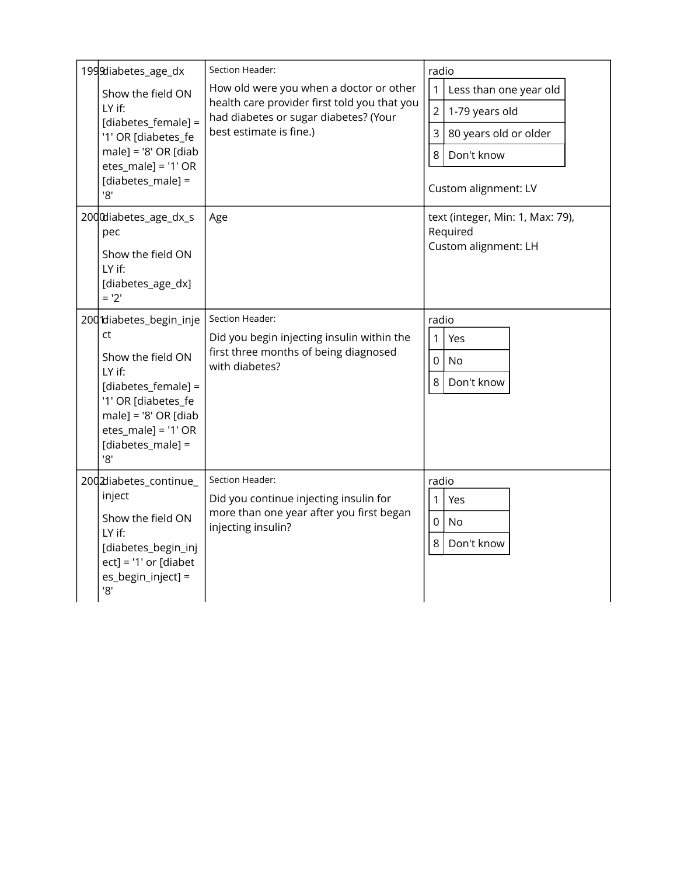| 1999diabetes_age_dx                                                                                                                                                                         | Section Header:                                                                                                                                             | radio                                                                                                                                                            |
|---------------------------------------------------------------------------------------------------------------------------------------------------------------------------------------------|-------------------------------------------------------------------------------------------------------------------------------------------------------------|------------------------------------------------------------------------------------------------------------------------------------------------------------------|
| Show the field ON<br>LY if:<br>[diabetes_female] =<br>'1' OR [diabetes_fe<br>$male$ ] = '8' OR [diab<br>etes $male$ ] = '1' OR<br>[diabetes_male] =<br>'8'                                  | How old were you when a doctor or other<br>health care provider first told you that you<br>had diabetes or sugar diabetes? (Your<br>best estimate is fine.) | $\mathbf{1}$<br>Less than one year old<br>$\overline{2}$<br>1-79 years old<br>$\overline{3}$<br>80 years old or older<br>8<br>Don't know<br>Custom alignment: LV |
| 2000diabetes_age_dx_s<br>pec<br>Show the field ON<br>LY if:<br>[diabetes_age_dx]<br>$= '2'$                                                                                                 | Age                                                                                                                                                         | text (integer, Min: 1, Max: 79),<br>Required<br>Custom alignment: LH                                                                                             |
| 200 diabetes_begin_inje<br>ct<br>Show the field ON<br>LY if:<br>[diabetes_female] =<br>'1' OR [diabetes_fe<br>$male] = '8' OR [diab]$<br>$etes\_male] = '1' OR$<br>[diabetes_male] =<br>'8' | Section Header:<br>Did you begin injecting insulin within the<br>first three months of being diagnosed<br>with diabetes?                                    | radio<br>1<br>Yes<br>$\mathbf 0$<br><b>No</b><br>8<br>Don't know                                                                                                 |
| 2002diabetes_continue_<br>inject<br>Show the field ON<br>LY if:<br>[diabetes_begin_inj<br>$ect$ ] = '1' or [diabet<br>es_begin_inject] =<br>'8'                                             | Section Header:<br>Did you continue injecting insulin for<br>more than one year after you first began<br>injecting insulin?                                 | radio<br>1<br>Yes<br>$\mathbf 0$<br><b>No</b><br>8<br>Don't know                                                                                                 |